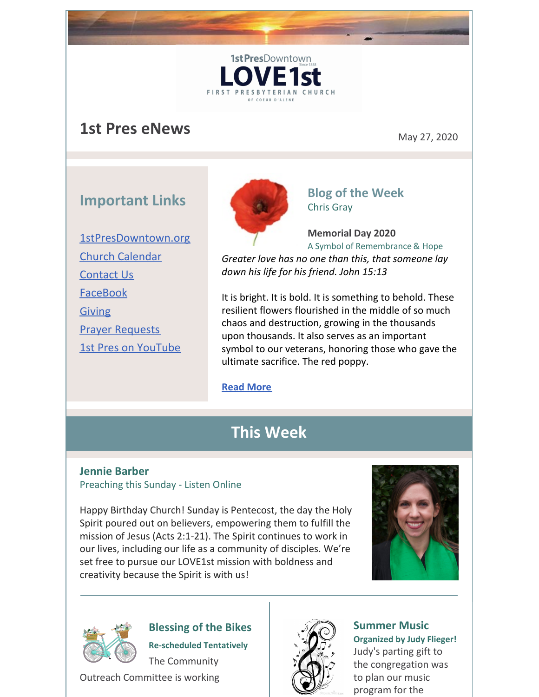# **1st Pres eNews** May 27, 2020

## **Important Links**

[1stPresDowntown.org](http://www.1stpresdowntown.org/) Church [Calendar](http://www.1stpresdowntown.org/calendar/) [Contact](http://www.1stpresdowntown.org/contact/) Us [FaceBook](https://www.facebook.com/cdadowntownchurch/) [Giving](https://www.eservicepayments.com/cgi-bin/Vanco_ver3.vps?appver3=Fi1giPL8kwX_Oe1AO50jRhFtjI3jPush-TiV_cWeMqos4NSQukCYDzKLUtTTUlsf2EvVVAEjqawDomKT1pbouWbIw4yEvEZZftNOfs1-eIM%3D&ver=3) Prayer [Requests](http://www.1stpresdowntown.org/contact/) 1st Pres on [YouTube](https://www.youtube.com/channel/UCCfruZriuZfS2hVar79nXbQ)



1st PresDowntown

**FIRST PRESB** 

### **Blog of the Week** Chris Gray

**Memorial Day 2020** A Symbol of Remembrance & Hope *Greater love has no one than this, that someone lay down his life for his friend. John 15:13*

It is bright. It is bold. It is something to behold. These resilient flowers flourished in the middle of so much chaos and destruction, growing in the thousands upon thousands. It also serves as an important symbol to our veterans, honoring those who gave the ultimate sacrifice. The red poppy.

**Read [More](http://www.1stpresdowntown.org/memorial-day-2020-a-symbol-of-remembrance-hope/)**

## **This Week**

#### **Jennie Barber** Preaching this Sunday - Listen Online

Happy Birthday Church! Sunday is Pentecost, the day the Holy Spirit poured out on believers, empowering them to fulfill the mission of Jesus (Acts 2:1-21). The Spirit continues to work in our lives, including our life as a community of disciples. We're set free to pursue our LOVE1st mission with boldness and creativity because the Spirit is with us!





**Blessing of the Bikes Re-scheduled Tentatively** The Community

Outreach Committee is working



**Summer Music Organized by Judy Flieger!** Judy's parting gift to the congregation was to plan our music program for the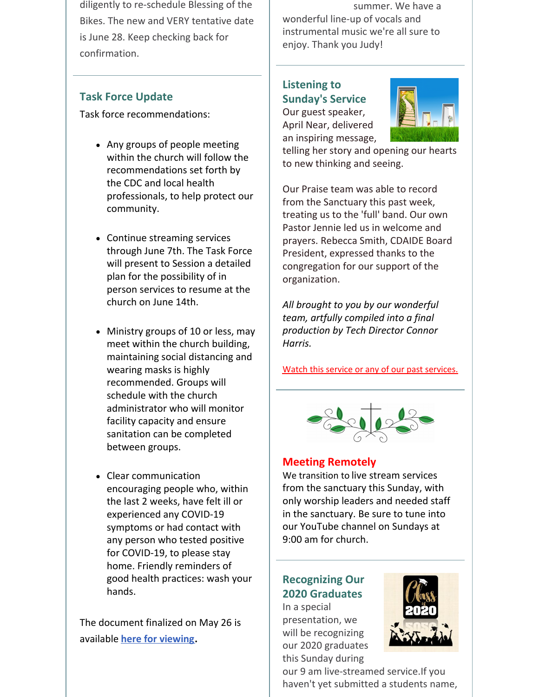diligently to re-schedule Blessing of the Bikes. The new and VERY tentative date is June 28. Keep checking back for confirmation.

### **Task Force Update**

Task force recommendations:

- Any groups of people meeting within the church will follow the recommendations set forth by the CDC and local health professionals, to help protect our community.
- Continue streaming services through June 7th. The Task Force will present to Session a detailed plan for the possibility of in person services to resume at the church on June 14th.
- Ministry groups of 10 or less, may meet within the church building, maintaining social distancing and wearing masks is highly recommended. Groups will schedule with the church administrator who will monitor facility capacity and ensure sanitation can be completed between groups.
- Clear communication encouraging people who, within the last 2 weeks, have felt ill or experienced any COVID-19 symptoms or had contact with any person who tested positive for COVID-19, to please stay home. Friendly reminders of good health practices: wash your hands.

The document finalized on May 26 is available **here for [viewing](http://www.1stpresdowntown.org/covid-19-task-force-recommendations-5_26_20/).**

summer. We have a wonderful line-up of vocals and instrumental music we're all sure to enjoy. Thank you Judy!

## **Listening to Sunday's Service** Our guest speaker,

April Near, delivered an inspiring message,



telling her story and opening our hearts to new thinking and seeing.

Our Praise team was able to record from the Sanctuary this past week, treating us to the 'full' band. Our own Pastor Jennie led us in welcome and prayers. Rebecca Smith, CDAIDE Board President, expressed thanks to the congregation for our support of the organization.

*All brought to you by our wonderful team, artfully compiled into a final production by Tech Director Connor Harris.*

Watch this service or any of our past [services.](http://r20.rs6.net/tn.jsp?t=y56g5labb.0.0.rook9gdab.0&id=preview&r=3&p=https%3A%2F%2Fwww.youtube.com%2Fchannel%2FUCCfruZriuZfS2hVar79nXbQ)



### **Meeting Remotely**

We transition to live stream services from the sanctuary this Sunday, with only worship leaders and needed staff in the sanctuary. Be sure to tune into our YouTube channel on Sundays at 9:00 am for church.

## **Recognizing Our 2020 Graduates**

In a special presentation, we will be recognizing our 2020 graduates this Sunday during



our 9 am live-streamed service.If you haven't yet submitted a students name,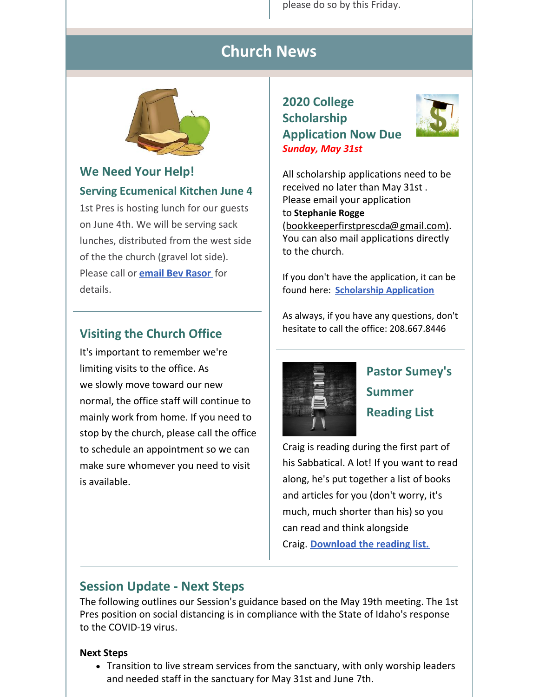please do so by this Friday.

## **Church News**



## **We Need Your Help! Serving Ecumenical Kitchen June 4**

1st Pres is hosting lunch for our guests on June 4th. We will be serving sack lunches, distributed from the west side of the the church (gravel lot side). Please call or **email Bev [Rasor](mailto:bevrasor@frontier.com)** for details.

### **Visiting the Church Office**

It's important to remember we're limiting visits to the office. As we slowly move toward our new normal, the office staff will continue to mainly work from home. If you need to stop by the church, please call the office to schedule an appointment so we can make sure whomever you need to visit is available.

### **2020 College Scholarship Application Now Due** *Sunday, May 31st*



All scholarship applications need to be received no later than May 31st . Please email your application to **[Stephanie](mailto:bookkeeperfirstprescda@gmail.com) Rogge** [\(bookkeeperfirstprescda@gmail.com\).](https://em-ui.constantcontact.com/em-ui/em/page/em-ui/email#) You can also mail applications directly to the church.

If you don't have the application, it can be found here: **[Scholarship](http://r20.rs6.net/tn.jsp?t=y56g5labb.0.0.rook9gdab.0&id=preview&r=3&p=http%3A%2F%2Fwww.1stpresdowntown.org%2Fed-scholarship-application%2F) Application**

As always, if you have any questions, don't hesitate to call the office: 208.667.8446



## **Pastor Sumey's Summer Reading List**

Craig is reading during the first part of his Sabbatical. A lot! If you want to read along, he's put together a list of books and articles for you (don't worry, it's much, much shorter than his) so you can read and think alongside Craig. **[Download](https://files.constantcontact.com/1d935adc001/1abf8692-150f-4ac3-9390-c817944dc3ce.pdf) the reading list.**

### **Session Update - Next Steps**

The following outlines our Session's guidance based on the May 19th meeting. The 1st Pres position on social distancing is in compliance with the State of Idaho's response to the COVID-19 virus.

#### **Next Steps**

• Transition to live stream services from the sanctuary, with only worship leaders and needed staff in the sanctuary for May 31st and June 7th.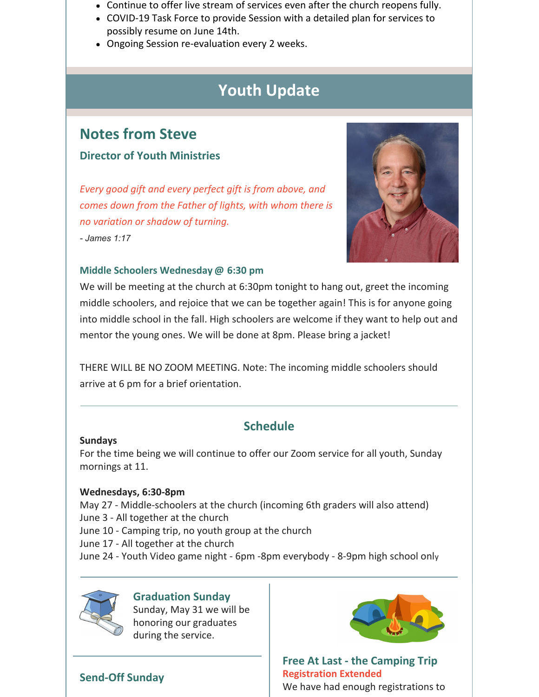- Continue to offer live stream of services even after the church reopens fully.
- COVID-19 Task Force to provide Session with a detailed plan for services to possibly resume on June 14th.
- Ongoing Session re-evaluation every 2 weeks.

## **Youth Update**

## **Notes from Steve**

#### **Director of Youth Ministries**

*Every good gift and every perfect gift is from above, and comes down from the Father of lights, with whom there is no variation or shadow of turning.*

*- James 1:17*



#### **Middle Schoolers Wednesday @ 6:30 pm**

We will be meeting at the church at 6:30pm tonight to hang out, greet the incoming middle schoolers, and rejoice that we can be together again! This is for anyone going into middle school in the fall. High schoolers are welcome if they want to help out and mentor the young ones. We will be done at 8pm. Please bring a jacket!

THERE WILL BE NO ZOOM MEETING. Note: The incoming middle schoolers should arrive at 6 pm for a brief orientation.

### **Schedule**

#### **Sundays**

For the time being we will continue to offer our Zoom service for all youth, Sunday mornings at 11.

#### **Wednesdays, 6:30-8pm**

May 27 - Middle-schoolers at the church (incoming 6th graders will also attend) June 3 - All together at the church June 10 - Camping trip, no youth group at the church June 17 - All together at the church

June 24 - Youth Video game night - 6pm -8pm everybody - 8-9pm high school only



#### **Graduation Sunday**

Sunday, May 31 we will be honoring our graduates during the service.

### **Send-Off Sunday**



**Free At Last - the Camping Trip Registration Extended** We have had enough registrations to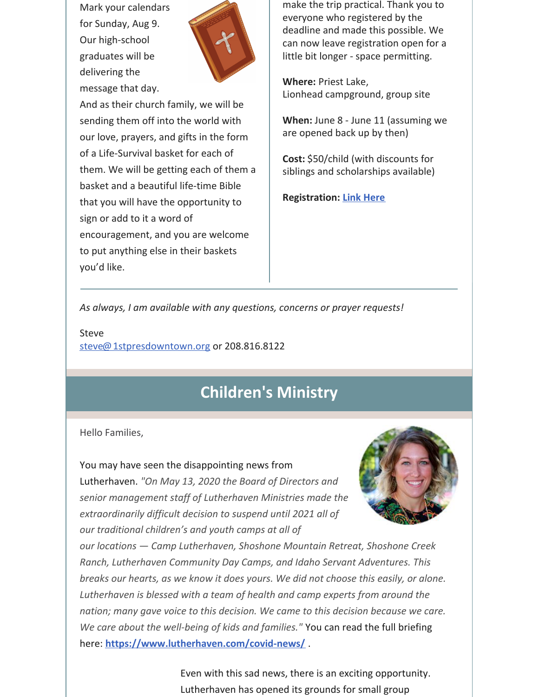Mark your calendars for Sunday, Aug 9. Our high-school graduates will be delivering the message that day.



And as their church family, we will be sending them off into the world with our love, prayers, and gifts in the form of a Life-Survival basket for each of them. We will be getting each of them a basket and a beautiful life-time Bible that you will have the opportunity to sign or add to it a word of encouragement, and you are welcome to put anything else in their baskets you'd like.

make the trip practical. Thank you to everyone who registered by the deadline and made this possible. We can now leave registration open for a little bit longer - space permitting.

**Where:** Priest Lake, Lionhead campground, group site

**When:** June 8 - June 11 (assuming we are opened back up by then)

**Cost:** \$50/child (with discounts for siblings and scholarships available)

**Registration: Link [Here](https://1stpres.churchcenter.com/registrations/events/419932)**

*As always, I am available with any questions, concerns or prayer requests!*

Steve [steve@1stpresdowntown.org](mailto:steve@1stpresdowntown.org) or 208.816.8122

## **Children's Ministry**

Hello Families,

You may have seen the disappointing news from Lutherhaven. *"On May 13, 2020 the Board of Directors and senior management staff of Lutherhaven Ministries made the extraordinarily difficult decision to suspend until 2021 all of our traditional children's and youth camps at all of*



*our locations — Camp Lutherhaven, Shoshone Mountain Retreat, Shoshone Creek Ranch, Lutherhaven Community Day Camps, and Idaho Servant Adventures. This breaks our hearts, as we know it does yours. We did not choose this easily, or alone. Lutherhaven is blessed with a team of health and camp experts from around the nation; many gave voice to this decision. We came to this decision because we care. We care about the well-being of kids and families."* You can read the full briefing here: **<https://www.lutherhaven.com/covid-news/>** .

> Even with this sad news, there is an exciting opportunity. Lutherhaven has opened its grounds for small group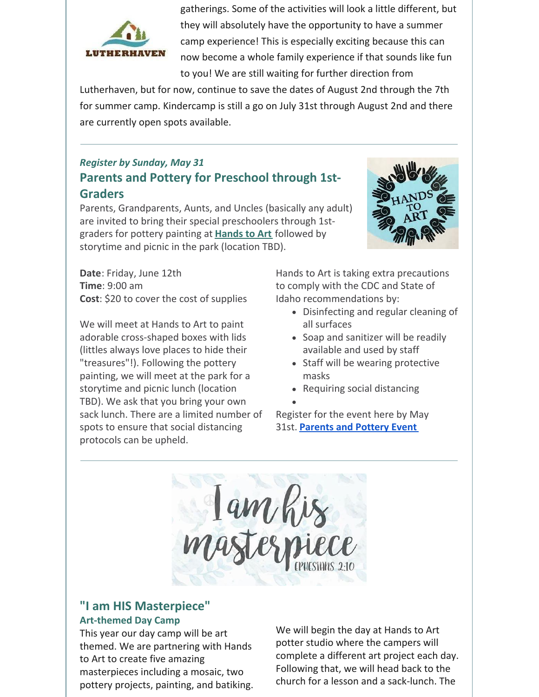

gatherings. Some of the activities will look a little different, but they will absolutely have the opportunity to have a summer camp experience! This is especially exciting because this can now become a whole family experience if that sounds like fun to you! We are still waiting for further direction from

Lutherhaven, but for now, continue to save the dates of August 2nd through the 7th for summer camp. Kindercamp is still a go on July 31st through August 2nd and there are currently open spots available.

### *Register by Sunday, May 31* **Parents and Pottery for Preschool through 1st-Graders**

Parents, Grandparents, Aunts, and Uncles (basically any adult) are invited to bring their special preschoolers through 1stgraders for pottery painting at **[Hands](https://www.handstoart.com/) to Art** followed by storytime and picnic in the park (location TBD).

**Date**: Friday, June 12th **Time**: 9:00 am **Cost**: \$20 to cover the cost of supplies

We will meet at Hands to Art to paint adorable cross-shaped boxes with lids (littles always love places to hide their "treasures"!). Following the pottery painting, we will meet at the park for a storytime and picnic lunch (location TBD). We ask that you bring your own sack lunch. There are a limited number of spots to ensure that social distancing protocols can be upheld.



Hands to Art is taking extra precautions to comply with the CDC and State of Idaho recommendations by:

- Disinfecting and regular cleaning of all surfaces
- Soap and sanitizer will be readily available and used by staff
- Staff will be wearing protective masks
- Requiring social distancing
- 

Register for the event here by May 31st. **[Parents](https://1stpres.churchcenter.com/registrations/events/426187) and Pottery Event**

lam his

#### **"I am HIS Masterpiece" Art-themed Day Camp**

This year our day camp will be art themed. We are partnering with Hands to Art to create five amazing masterpieces including a mosaic, two pottery projects, painting, and batiking. We will begin the day at Hands to Art potter studio where the campers will complete a different art project each day. Following that, we will head back to the church for a lesson and a sack-lunch. The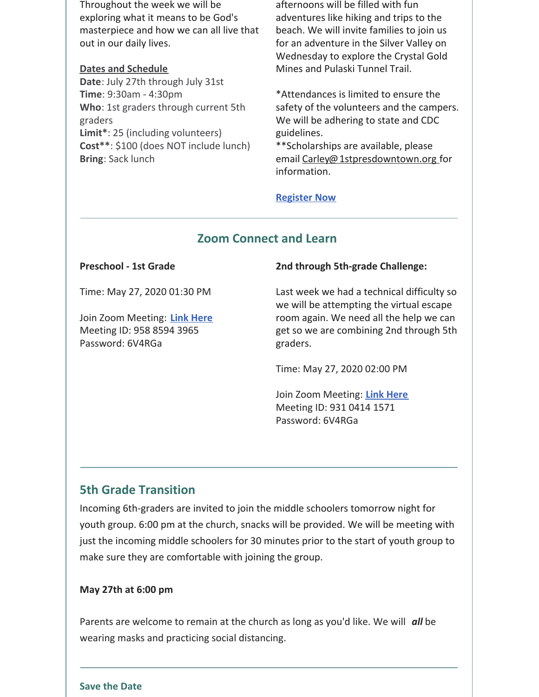Throughout the week we will be exploring what it means to be God's masterpiece and how we can all live that out in our daily lives.

#### **Dates and Schedule**

**Date**: July 27th through July 31st **Time**: 9:30am - 4:30pm **Who**: 1st graders through current 5th graders **Limit\***: 25 (including volunteers) **Cost\*\***: \$100 (does NOT include lunch) **Bring**: Sack lunch

afternoons will be filled with fun adventures like hiking and trips to the beach. We will invite families to join us for an adventure in the Silver Valley on Wednesday to explore the Crystal Gold Mines and Pulaski Tunnel Trail.

\*Attendances is limited to ensure the safety of the volunteers and the campers. We will be adhering to state and CDC guidelines.

\*\*Scholarships are available, please email [Carley@1stpresdowntown.org](mailto:Carley@1stpresdowntown.org) for information.

#### **[Register](https://1stpres.churchcenter.com/registrations/events/429465) Now**

#### **Zoom Connect and Learn**

#### **Preschool - 1st Grade**

Time: May 27, 2020 01:30 PM

Join Zoom Meeting: **Link [Here](https://zoom.us/j/95885943965?pwd=L0R0UVFHOUZLQTlnMlJ4dVZRQ3NnQT09)** Meeting ID: 958 8594 3965 Password: 6V4RGa

#### **2nd through 5th-grade Challenge:**

Last week we had a technical difficulty so we will be attempting the virtual escape room again. We need all the help we can get so we are combining 2nd through 5th graders.

Time: May 27, 2020 02:00 PM

Join Zoom Meeting: **Link [Here](https://zoom.us/j/93104141571?pwd=cHRZVS9sMmtickNXSTBjMVJhbEk2Zz09)** Meeting ID: 931 0414 1571 Password: 6V4RGa

### **5th Grade Transition**

Incoming 6th-graders are invited to join the middle schoolers tomorrow night for youth group. 6:00 pm at the church, snacks will be provided. We will be meeting with just the incoming middle schoolers for 30 minutes prior to the start of youth group to make sure they are comfortable with joining the group.

#### **May 27th at 6:00 pm**

Parents are welcome to remain at the church as long as you'd like. We will *all* be wearing masks and practicing social distancing.

#### **Save the Date**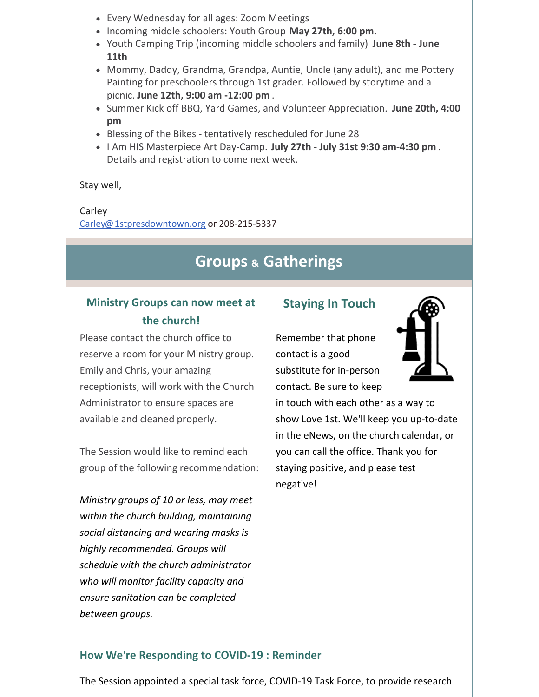- Every Wednesday for all ages: Zoom Meetings
- Incoming middle schoolers: Youth Group **May 27th, 6:00 pm.**
- Youth Camping Trip (incoming middle schoolers and family) **June 8th - June 11th**
- Mommy, Daddy, Grandma, Grandpa, Auntie, Uncle (any adult), and me Pottery Painting for preschoolers through 1st grader. Followed by storytime and a picnic. **June 12th, 9:00 am -12:00 pm** .
- Summer Kick off BBQ, Yard Games, and Volunteer Appreciation. **June 20th, 4:00 pm**
- Blessing of the Bikes tentatively rescheduled for June 28
- I Am HIS Masterpiece Art Day-Camp. **July 27th - July 31st 9:30 am-4:30 pm** . Details and registration to come next week.

Stay well,

#### Carley

[Carley@1stpresdowntown.org](mailto:Carley@1stpresdowntown.org) or 208-215-5337

## **Groups & Gatherings**

### **Ministry Groups can now meet at the church!**

Please contact the church office to reserve a room for your Ministry group. Emily and Chris, your amazing receptionists, will work with the Church Administrator to ensure spaces are available and cleaned properly.

The Session would like to remind each group of the following recommendation:

*Ministry groups of 10 or less, may meet within the church building, maintaining social distancing and wearing masks is highly recommended. Groups will schedule with the church administrator who will monitor facility capacity and ensure sanitation can be completed between groups.*

#### **Staying In Touch**

Remember that phone contact is a good substitute for in-person contact. Be sure to keep



in touch with each other as a way to show Love 1st. We'll keep you up-to-date in the eNews, on the church calendar, or you can call the office. Thank you for staying positive, and please test negative!

#### **How We're Responding to COVID-19 : Reminder**

The Session appointed a special task force, COVID-19 Task Force, to provide research